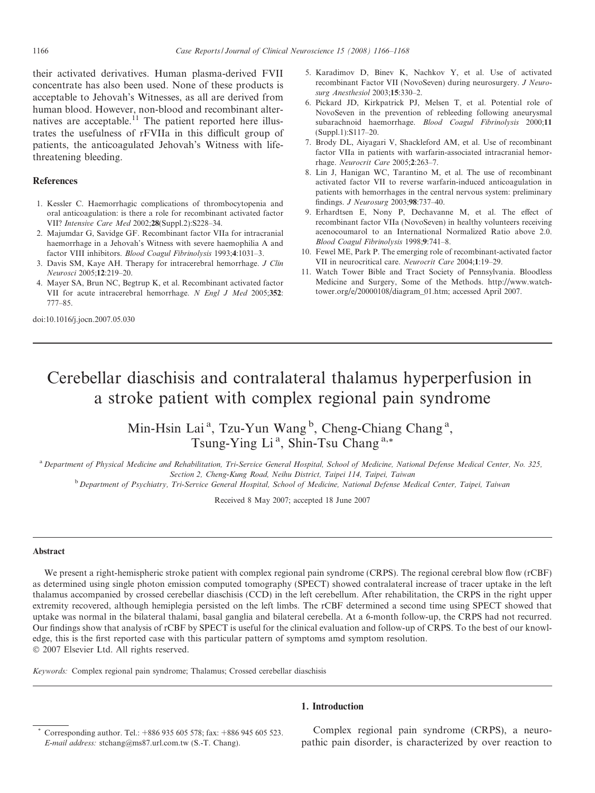their activated derivatives. Human plasma-derived FVII concentrate has also been used. None of these products is acceptable to Jehovah's Witnesses, as all are derived from human blood. However, non-blood and recombinant alternatives are acceptable.<sup> $11$ </sup> The patient reported here illustrates the usefulness of rFVIIa in this difficult group of patients, the anticoagulated Jehovah's Witness with lifethreatening bleeding.

## References

- 1. Kessler C. Haemorrhagic complications of thrombocytopenia and oral anticoagulation: is there a role for recombinant activated factor VII? Intensive Care Med 2002;28(Suppl.2):S228–34.
- 2. Majumdar G, Savidge GF. Recombinant factor VIIa for intracranial haemorrhage in a Jehovah's Witness with severe haemophilia A and factor VIII inhibitors. Blood Coagul Fibrinolysis 1993;4:1031–3.
- 3. Davis SM, Kaye AH. Therapy for intracerebral hemorrhage. J Clin Neurosci 2005;12:219–20.
- 4. Mayer SA, Brun NC, Begtrup K, et al. Recombinant activated factor VII for acute intracerebral hemorrhage. N Engl J Med 2005;352: 777–85.

doi:10.1016/j.jocn.2007.05.030

- 5. Karadimov D, Binev K, Nachkov Y, et al. Use of activated recombinant Factor VII (NovoSeven) during neurosurgery. J Neurosurg Anesthesiol 2003;15:330–2.
- 6. Pickard JD, Kirkpatrick PJ, Melsen T, et al. Potential role of NovoSeven in the prevention of rebleeding following aneurysmal subarachnoid haemorrhage. Blood Coagul Fibrinolysis 2000;11 (Suppl.1):S117–20.
- 7. Brody DL, Aiyagari V, Shackleford AM, et al. Use of recombinant factor VIIa in patients with warfarin-associated intracranial hemorrhage. Neurocrit Care 2005;2:263–7.
- 8. Lin J, Hanigan WC, Tarantino M, et al. The use of recombinant activated factor VII to reverse warfarin-induced anticoagulation in patients with hemorrhages in the central nervous system: preliminary findings. J Neurosurg 2003;98:737–40.
- 9. Erhardtsen E, Nony P, Dechavanne M, et al. The effect of recombinant factor VIIa (NovoSeven) in healthy volunteers receiving acenocoumarol to an International Normalized Ratio above 2.0. Blood Coagul Fibrinolysis 1998;9:741–8.
- 10. Fewel ME, Park P. The emerging role of recombinant-activated factor VII in neurocritical care. Neurocrit Care 2004;1:19–29.
- 11. Watch Tower Bible and Tract Society of Pennsylvania. Bloodless Medicine and Surgery, Some of the Methods. http://www.watchtower.org/e/20000108/diagram\_01.htm; accessed April 2007.

# Cerebellar diaschisis and contralateral thalamus hyperperfusion in a stroke patient with complex regional pain syndrome

Min-Hsin Lai<sup>a</sup>, Tzu-Yun Wang<sup>b</sup>, Cheng-Chiang Chang<sup>a</sup>, Tsung-Ying Li<sup>a</sup>, Shin-Tsu Chang<sup>a,\*</sup>

<sup>a</sup> Department of Physical Medicine and Rehabilitation, Tri-Service General Hospital, School of Medicine, National Defense Medical Center, No. 325, Section 2, Cheng-Kung Road, Neihu District, Taipei 114, Taipei, Taiwan

<sup>b</sup> Department of Psychiatry, Tri-Service General Hospital, School of Medicine, National Defense Medical Center, Taipei, Taiwan

Received 8 May 2007; accepted 18 June 2007

#### Abstract

We present a right-hemispheric stroke patient with complex regional pain syndrome (CRPS). The regional cerebral blow flow (rCBF) as determined using single photon emission computed tomography (SPECT) showed contralateral increase of tracer uptake in the left thalamus accompanied by crossed cerebellar diaschisis (CCD) in the left cerebellum. After rehabilitation, the CRPS in the right upper extremity recovered, although hemiplegia persisted on the left limbs. The rCBF determined a second time using SPECT showed that uptake was normal in the bilateral thalami, basal ganglia and bilateral cerebella. At a 6-month follow-up, the CRPS had not recurred. Our findings show that analysis of rCBF by SPECT is useful for the clinical evaluation and follow-up of CRPS. To the best of our knowledge, this is the first reported case with this particular pattern of symptoms amd symptom resolution.  $© 2007 Elsevier Ltd. All rights reserved.$ 

Keywords: Complex regional pain syndrome; Thalamus; Crossed cerebellar diaschisis

### 1. Introduction

Complex regional pain syndrome (CRPS), a neuropathic pain disorder, is characterized by over reaction to

Corresponding author. Tel.: +886 935 605 578; fax: +886 945 605 523. E-mail address: stchang@ms87.url.com.tw (S.-T. Chang).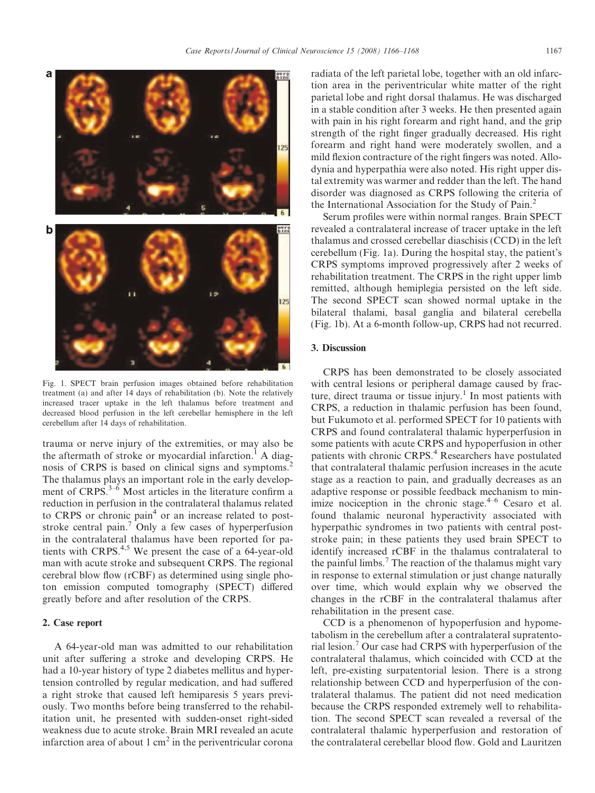

Fig. 1. SPECT brain perfusion images obtained before rehabilitation treatment (a) and after 14 days of rehabilitation (b). Note the relatively increased tracer uptake in the left thalamus before treatment and decreased blood perfusion in the left cerebellar hemisphere in the left cerebellum after 14 days of rehabilitation.

trauma or nerve injury of the extremities, or may also be the aftermath of stroke or myocardial infarction.<sup>1</sup> A diagnosis of CRPS is based on clinical signs and symptoms.<sup>2</sup> The thalamus plays an important role in the early development of  $CRPS.<sup>3–6</sup>$  Most articles in the literature confirm a reduction in perfusion in the contralateral thalamus related to CRPS or chronic pain<sup>4</sup> or an increase related to poststroke central pain.<sup>7</sup> Only a few cases of hyperperfusion in the contralateral thalamus have been reported for patients with CRPS. $4,5$  We present the case of a 64-year-old man with acute stroke and subsequent CRPS. The regional cerebral blow flow (rCBF) as determined using single photon emission computed tomography (SPECT) differed greatly before and after resolution of the CRPS.

### 2. Case report

A 64-year-old man was admitted to our rehabilitation unit after suffering a stroke and developing CRPS. He had a 10-year history of type 2 diabetes mellitus and hypertension controlled by regular medication, and had suffered a right stroke that caused left hemiparesis 5 years previously. Two months before being transferred to the rehabilitation unit, he presented with sudden-onset right-sided weakness due to acute stroke. Brain MRI revealed an acute infarction area of about  $1 \text{ cm}^2$  in the periventricular corona radiata of the left parietal lobe, together with an old infarction area in the periventricular white matter of the right parietal lobe and right dorsal thalamus. He was discharged in a stable condition after 3 weeks. He then presented again with pain in his right forearm and right hand, and the grip strength of the right finger gradually decreased. His right forearm and right hand were moderately swollen, and a mild flexion contracture of the right fingers was noted. Allodynia and hyperpathia were also noted. His right upper distal extremity was warmer and redder than the left. The hand disorder was diagnosed as CRPS following the criteria of the International Association for the Study of Pain.<sup>2</sup>

Serum profiles were within normal ranges. Brain SPECT revealed a contralateral increase of tracer uptake in the left thalamus and crossed cerebellar diaschisis (CCD) in the left cerebellum (Fig. 1a). During the hospital stay, the patient's CRPS symptoms improved progressively after 2 weeks of rehabilitation treatment. The CRPS in the right upper limb remitted, although hemiplegia persisted on the left side. The second SPECT scan showed normal uptake in the bilateral thalami, basal ganglia and bilateral cerebella (Fig. 1b). At a 6-month follow-up, CRPS had not recurred.

## 3. Discussion

CRPS has been demonstrated to be closely associated with central lesions or peripheral damage caused by fracture, direct trauma or tissue injury.<sup>1</sup> In most patients with CRPS, a reduction in thalamic perfusion has been found, but Fukumoto et al. performed SPECT for 10 patients with CRPS and found contralateral thalamic hyperperfusion in some patients with acute CRPS and hypoperfusion in other patients with chronic CRPS.<sup>4</sup> Researchers have postulated that contralateral thalamic perfusion increases in the acute stage as a reaction to pain, and gradually decreases as an adaptive response or possible feedback mechanism to minimize nociception in the chronic stage. $4-6$  Cesaro et al. found thalamic neuronal hyperactivity associated with hyperpathic syndromes in two patients with central poststroke pain; in these patients they used brain SPECT to identify increased rCBF in the thalamus contralateral to the painful limbs.<sup>7</sup> The reaction of the thalamus might vary in response to external stimulation or just change naturally over time, which would explain why we observed the changes in the rCBF in the contralateral thalamus after rehabilitation in the present case.

CCD is a phenomenon of hypoperfusion and hypometabolism in the cerebellum after a contralateral supratentorial lesion.<sup>7</sup> Our case had CRPS with hyperperfusion of the contralateral thalamus, which coincided with CCD at the left, pre-existing surpatentorial lesion. There is a strong relationship between CCD and hyperperfusion of the contralateral thalamus. The patient did not need medication because the CRPS responded extremely well to rehabilitation. The second SPECT scan revealed a reversal of the contralateral thalamic hyperperfusion and restoration of the contralateral cerebellar blood flow. Gold and Lauritzen